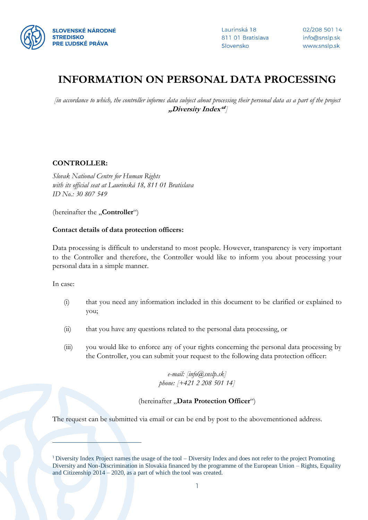

Laurinská 18 811 01 Bratislava Slovensko

02/208 501 14 info@snslp.sk www.snslp.sk

# **INFORMATION ON PERSONAL DATA PROCESSING**

*[in accordance to which, the controller informs data subject about processing their personal data as a part of the project* **"Diversity Index" 1** *]*

## **CONTROLLER:**

*Slovak National Centre for Human Rights with its official seat at Laurinská 18, 811 01 Bratislava ID No.: 30 807 549*

(hereinafter the "**Controller**")

#### **Contact details of data protection officers:**

Data processing is difficult to understand to most people. However, transparency is very important to the Controller and therefore, the Controller would like to inform you about processing your personal data in a simple manner.

In case:

- (i) that you need any information included in this document to be clarified or explained to you;
- (ii) that you have any questions related to the personal data processing, or
- (iii) you would like to enforce any of your rights concerning the personal data processing by the Controller, you can submit your request to the following data protection officer:

*e-mail: [info@snslp.sk] phone: [+421 2 208 501 14]*

#### (hereinafter "Data Protection Officer")

The request can be submitted via email or can be end by post to the abovementioned address.

Diversity Index Project names the usage of the tool – Diversity Index and does not refer to the project Promoting Diversity and Non-Discrimination in Slovakia financed by the programme of the European Union – Rights, Equality and Citizenship 2014 – 2020, as a part of which the tool was created.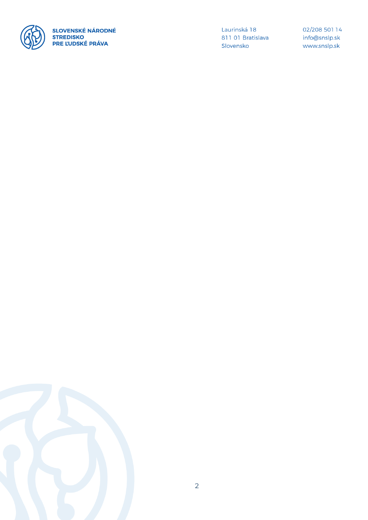

SLOVENSKÉ NÁRODNÉ<br>STREDISKO<br>PRE ĽUDSKÉ PRÁVA

Laurinská 18 811 01 Bratislava Slovensko

02/208 501 14 info@snslp.sk www.snslp.sk

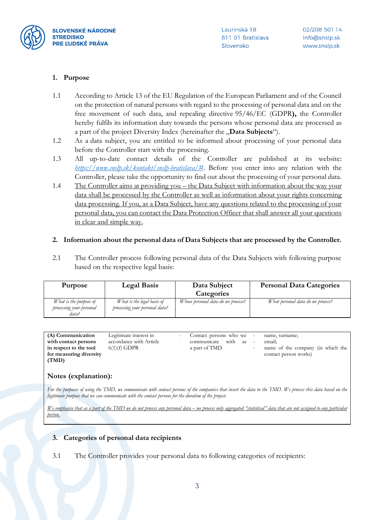

Laurinská 18 811 01 Bratislava Slovensko

02/208 501 14 info@snslp.sk www.snslp.sk

# **1. Purpose**

- 1.1 According to Article 13 of the EU Regulation of the European Parliament and of the Council on the protection of natural persons with regard to the processing of personal data and on the free movement of such data, and repealing directive 95/46/EC (GDPR**),** the Controller hereby fulfils its information duty towards the persons whose personal data are processed as a part of the project Diversity Index (hereinafter the **"Data Subjects**").
- 1.2 As a data subject, you are entitled to be informed about processing of your personal data before the Controller start with the processing.
- 1.3 All up-to-date contact details of the Controller are published at its website: *[https://www.snslp.sk/kontakt/snslp-bratislava/#](https://www.snslp.sk/kontakt/snslp-bratislava/)*. Before you enter into any relation with the Controller, please take the opportunity to find out about the processing of your personal data.
- 1.4 The Controller aims at providing you the Data Subject with information about the way your data shall be processed by the Controller as well as information about your rights concerning data processing. If you, as a Data Subject, have any questions related to the processing of your personal data, you can contact the Data Protection Officer that shall answer all your questions in clear and simple way.

#### **2. Information about the personal data of Data Subjects that are processed by the Controller.**

2.1 The Controller process following personal data of the Data Subjects with following purpose based on the respective legal basis:

| Purpose                                                     | <b>Legal Basis</b>                                           | Data Subject<br>Categories         | <b>Personal Data Categories</b>   |
|-------------------------------------------------------------|--------------------------------------------------------------|------------------------------------|-----------------------------------|
| What is the purpose of<br>processing your personal<br>data? | What is the legal basis of<br>processing your personal data? | Whose personal data do we process? | What personal data do we process? |

| (A) Communication<br>Legitimate interest in<br>accordance with Article<br>with contact persons<br>$6(1)(f)$ GDPR<br>in respect to the tool<br>for measuring diversity<br>(TMD) |  | Contact persons who we<br>with<br>communicate<br>as<br>a part of TMD | $\sim$<br>$\overline{\phantom{a}}$ | name, surname;<br>email;<br>name of the company (in which the<br>contact person works) |
|--------------------------------------------------------------------------------------------------------------------------------------------------------------------------------|--|----------------------------------------------------------------------|------------------------------------|----------------------------------------------------------------------------------------|
|--------------------------------------------------------------------------------------------------------------------------------------------------------------------------------|--|----------------------------------------------------------------------|------------------------------------|----------------------------------------------------------------------------------------|

#### **Notes (explanation):**

*For the purposes of using the TMD, we communicate with contact persons of the companies that insert the data to the TMD. We process this data based on the legitimate purpose that we can communicate with the contact persons for the duration of the project.* 

We emphasise that as a part of the TMD we do not process any personal data – we process only aggregated "statistical" data that are not assigned to any particular *person.* 

#### **3. Categories of personal data recipients**

3.1 The Controller provides your personal data to following categories of recipients: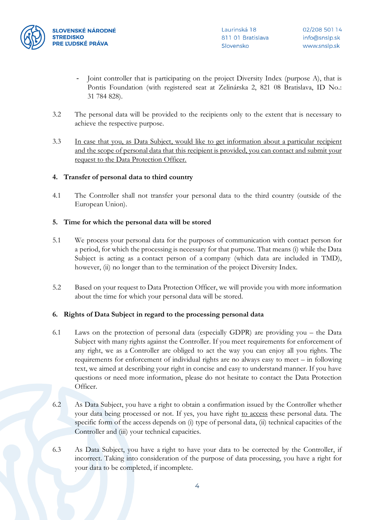

02/208 501 14 info@snslp.sk www.snslp.sk

- Joint controller that is participating on the project Diversity Index (purpose A), that is Pontis Foundation (with registered seat at Zelinárska 2, 821 08 Bratislava, ID No.: 31 784 828).
- 3.2 The personal data will be provided to the recipients only to the extent that is necessary to achieve the respective purpose.
- 3.3 In case that you, as Data Subject, would like to get information about a particular recipient and the scope of personal data that this recipient is provided, you can contact and submit your request to the Data Protection Officer.

#### **4. Transfer of personal data to third country**

4.1 The Controller shall not transfer your personal data to the third country (outside of the European Union).

#### **5. Time for which the personal data will be stored**

- 5.1 We process your personal data for the purposes of communication with contact person for a period, for which the processing is necessary for that purpose. That means (i) while the Data Subject is acting as a contact person of a company (which data are included in TMD), however, (ii) no longer than to the termination of the project Diversity Index.
- 5.2 Based on your request to Data Protection Officer, we will provide you with more information about the time for which your personal data will be stored.

#### **6. Rights of Data Subject in regard to the processing personal data**

- 6.1 Laws on the protection of personal data (especially GDPR) are providing you the Data Subject with many rights against the Controller. If you meet requirements for enforcement of any right, we as a Controller are obliged to act the way you can enjoy all you rights. The requirements for enforcement of individual rights are no always easy to meet – in following text, we aimed at describing your right in concise and easy to understand manner. If you have questions or need more information, please do not hesitate to contact the Data Protection Officer.
- 6.2 As Data Subject, you have a right to obtain a confirmation issued by the Controller whether your data being processed or not. If yes, you have right to access these personal data. The specific form of the access depends on (i) type of personal data, (ii) technical capacities of the Controller and (iii) your technical capacities.
- 6.3 As Data Subject, you have a right to have your data to be corrected by the Controller, if incorrect. Taking into consideration of the purpose of data processing, you have a right for your data to be completed, if incomplete.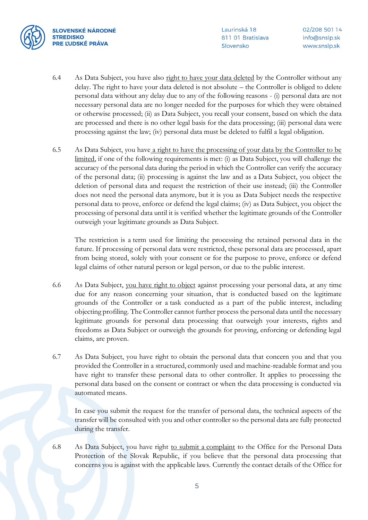

Laurinská 18 811 01 Bratislava Slovensko

02/208 501 14 info@snslp.sk www.snslp.sk

- 6.4 As Data Subject, you have also right to have your data deleted by the Controller without any delay. The right to have your data deleted is not absolute – the Controller is obliged to delete personal data without any delay due to any of the following reasons - (i) personal data are not necessary personal data are no longer needed for the purposes for which they were obtained or otherwise processed; (ii) as Data Subject, you recall your consent, based on which the data are processed and there is no other legal basis for the data processing; (iii) personal data were processing against the law; (iv) personal data must be deleted to fulfil a legal obligation.
- 6.5 As Data Subject, you have a right to have the processing of your data by the Controller to be limited, if one of the following requirements is met: (i) as Data Subject, you will challenge the accuracy of the personal data during the period in which the Controller can verify the accuracy of the personal data; (ii) processing is against the law and as a Data Subject, you object the deletion of personal data and request the restriction of their use instead; (iii) the Controller does not need the personal data anymore, but it is you as Data Subject needs the respective personal data to prove, enforce or defend the legal claims; (iv) as Data Subject, you object the processing of personal data until it is verified whether the legitimate grounds of the Controller outweigh your legitimate grounds as Data Subject.

The restriction is a term used for limiting the processing the retained personal data in the future. If processing of personal data were restricted, these personal data are processed, apart from being stored, solely with your consent or for the purpose to prove, enforce or defend legal claims of other natural person or legal person, or due to the public interest.

- 6.6 As Data Subject, you have right to object against processing your personal data, at any time due for any reason concerning your situation, that is conducted based on the legitimate grounds of the Controller or a task conducted as a part of the public interest, including objecting profiling. The Controller cannot further process the personal data until the necessary legitimate grounds for personal data processing that outweigh your interests, rights and freedoms as Data Subject or outweigh the grounds for proving, enforcing or defending legal claims, are proven.
- 6.7 As Data Subject, you have right to obtain the personal data that concern you and that you provided the Controller in a structured, commonly used and machine-readable format and you have right to transfer these personal data to other controller. It applies to processing the personal data based on the consent or contract or when the data processing is conducted via automated means.

In case you submit the request for the transfer of personal data, the technical aspects of the transfer will be consulted with you and other controller so the personal data are fully protected during the transfer.

6.8 As Data Subject, you have right to submit a complaint to the Office for the Personal Data Protection of the Slovak Republic, if you believe that the personal data processing that concerns you is against with the applicable laws. Currently the contact details of the Office for